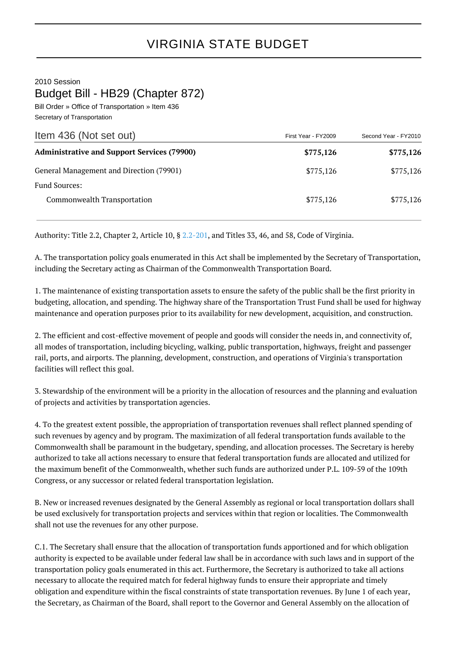2010 Session

Budget Bill - HB29 (Chapter 872)

Bill Order » Office of Transportation » Item 436 Secretary of Transportation

| Item 436 (Not set out)                             | First Year - FY2009 | Second Year - FY2010 |
|----------------------------------------------------|---------------------|----------------------|
| <b>Administrative and Support Services (79900)</b> | \$775,126           | \$775,126            |
| General Management and Direction (79901)           | \$775,126           | \$775,126            |
| <b>Fund Sources:</b>                               |                     |                      |
| Commonwealth Transportation                        | \$775,126           | \$775,126            |

Authority: Title 2.2, Chapter 2, Article 10, § [2.2-201,](http://law.lis.virginia.gov/vacode/2.2-201/) and Titles 33, 46, and 58, Code of Virginia.

A. The transportation policy goals enumerated in this Act shall be implemented by the Secretary of Transportation, including the Secretary acting as Chairman of the Commonwealth Transportation Board.

1. The maintenance of existing transportation assets to ensure the safety of the public shall be the first priority in budgeting, allocation, and spending. The highway share of the Transportation Trust Fund shall be used for highway maintenance and operation purposes prior to its availability for new development, acquisition, and construction.

2. The efficient and cost-effective movement of people and goods will consider the needs in, and connectivity of, all modes of transportation, including bicycling, walking, public transportation, highways, freight and passenger rail, ports, and airports. The planning, development, construction, and operations of Virginia's transportation facilities will reflect this goal.

3. Stewardship of the environment will be a priority in the allocation of resources and the planning and evaluation of projects and activities by transportation agencies.

4. To the greatest extent possible, the appropriation of transportation revenues shall reflect planned spending of such revenues by agency and by program. The maximization of all federal transportation funds available to the Commonwealth shall be paramount in the budgetary, spending, and allocation processes. The Secretary is hereby authorized to take all actions necessary to ensure that federal transportation funds are allocated and utilized for the maximum benefit of the Commonwealth, whether such funds are authorized under P.L. 109-59 of the 109th Congress, or any successor or related federal transportation legislation.

B. New or increased revenues designated by the General Assembly as regional or local transportation dollars shall be used exclusively for transportation projects and services within that region or localities. The Commonwealth shall not use the revenues for any other purpose.

C.1. The Secretary shall ensure that the allocation of transportation funds apportioned and for which obligation authority is expected to be available under federal law shall be in accordance with such laws and in support of the transportation policy goals enumerated in this act. Furthermore, the Secretary is authorized to take all actions necessary to allocate the required match for federal highway funds to ensure their appropriate and timely obligation and expenditure within the fiscal constraints of state transportation revenues. By June 1 of each year, the Secretary, as Chairman of the Board, shall report to the Governor and General Assembly on the allocation of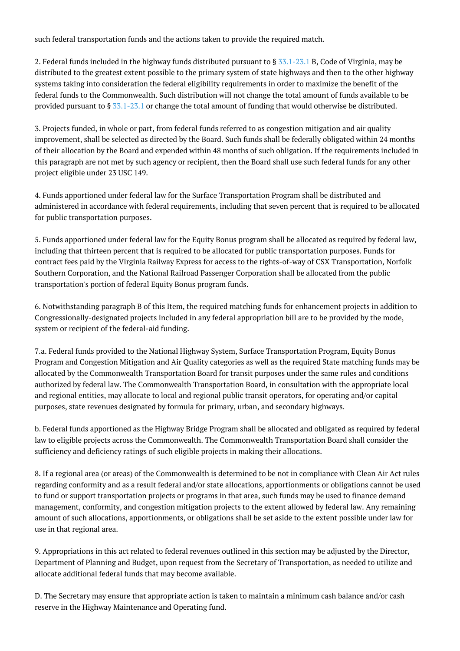such federal transportation funds and the actions taken to provide the required match.

2. Federal funds included in the highway funds distributed pursuant to § [33.1-23.1](http://law.lis.virginia.gov/vacode/33.1-23.1/) B, Code of Virginia, may be distributed to the greatest extent possible to the primary system of state highways and then to the other highway systems taking into consideration the federal eligibility requirements in order to maximize the benefit of the federal funds to the Commonwealth. Such distribution will not change the total amount of funds available to be provided pursuant to § [33.1-23.1](http://law.lis.virginia.gov/vacode/33.1-23.1/) or change the total amount of funding that would otherwise be distributed.

3. Projects funded, in whole or part, from federal funds referred to as congestion mitigation and air quality improvement, shall be selected as directed by the Board. Such funds shall be federally obligated within 24 months of their allocation by the Board and expended within 48 months of such obligation. If the requirements included in this paragraph are not met by such agency or recipient, then the Board shall use such federal funds for any other project eligible under 23 USC 149.

4. Funds apportioned under federal law for the Surface Transportation Program shall be distributed and administered in accordance with federal requirements, including that seven percent that is required to be allocated for public transportation purposes.

5. Funds apportioned under federal law for the Equity Bonus program shall be allocated as required by federal law, including that thirteen percent that is required to be allocated for public transportation purposes. Funds for contract fees paid by the Virginia Railway Express for access to the rights-of-way of CSX Transportation, Norfolk Southern Corporation, and the National Railroad Passenger Corporation shall be allocated from the public transportation's portion of federal Equity Bonus program funds.

6. Notwithstanding paragraph B of this Item, the required matching funds for enhancement projects in addition to Congressionally-designated projects included in any federal appropriation bill are to be provided by the mode, system or recipient of the federal-aid funding.

7.a. Federal funds provided to the National Highway System, Surface Transportation Program, Equity Bonus Program and Congestion Mitigation and Air Quality categories as well as the required State matching funds may be allocated by the Commonwealth Transportation Board for transit purposes under the same rules and conditions authorized by federal law. The Commonwealth Transportation Board, in consultation with the appropriate local and regional entities, may allocate to local and regional public transit operators, for operating and/or capital purposes, state revenues designated by formula for primary, urban, and secondary highways.

b. Federal funds apportioned as the Highway Bridge Program shall be allocated and obligated as required by federal law to eligible projects across the Commonwealth. The Commonwealth Transportation Board shall consider the sufficiency and deficiency ratings of such eligible projects in making their allocations.

8. If a regional area (or areas) of the Commonwealth is determined to be not in compliance with Clean Air Act rules regarding conformity and as a result federal and/or state allocations, apportionments or obligations cannot be used to fund or support transportation projects or programs in that area, such funds may be used to finance demand management, conformity, and congestion mitigation projects to the extent allowed by federal law. Any remaining amount of such allocations, apportionments, or obligations shall be set aside to the extent possible under law for use in that regional area.

9. Appropriations in this act related to federal revenues outlined in this section may be adjusted by the Director, Department of Planning and Budget, upon request from the Secretary of Transportation, as needed to utilize and allocate additional federal funds that may become available.

D. The Secretary may ensure that appropriate action is taken to maintain a minimum cash balance and/or cash reserve in the Highway Maintenance and Operating fund.